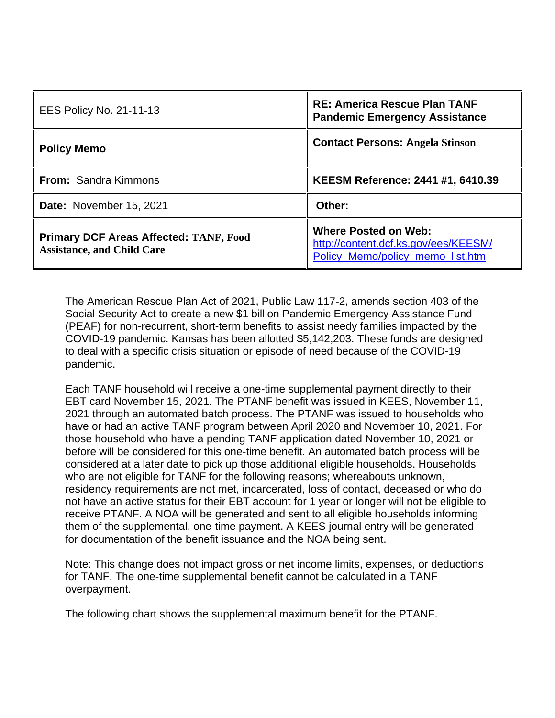| <b>EES Policy No. 21-11-13</b>                                                     | <b>RE: America Rescue Plan TANF</b><br><b>Pandemic Emergency Assistance</b>                             |
|------------------------------------------------------------------------------------|---------------------------------------------------------------------------------------------------------|
| <b>Policy Memo</b>                                                                 | <b>Contact Persons: Angela Stinson</b>                                                                  |
| <b>From: Sandra Kimmons</b>                                                        | KEESM Reference: 2441 #1, 6410.39                                                                       |
| Date: November 15, 2021                                                            | Other:                                                                                                  |
| <b>Primary DCF Areas Affected: TANF, Food</b><br><b>Assistance, and Child Care</b> | <b>Where Posted on Web:</b><br>http://content.dcf.ks.gov/ees/KEESM/<br>Policy_Memo/policy_memo_list.htm |

The American Rescue Plan Act of 2021, Public Law 117-2, amends section 403 of the Social Security Act to create a new \$1 billion Pandemic Emergency Assistance Fund (PEAF) for non-recurrent, short-term benefits to assist needy families impacted by the COVID-19 pandemic. Kansas has been allotted \$5,142,203. These funds are designed to deal with a specific crisis situation or episode of need because of the COVID-19 pandemic.

Each TANF household will receive a one-time supplemental payment directly to their EBT card November 15, 2021. The PTANF benefit was issued in KEES, November 11, 2021 through an automated batch process. The PTANF was issued to households who have or had an active TANF program between April 2020 and November 10, 2021. For those household who have a pending TANF application dated November 10, 2021 or before will be considered for this one-time benefit. An automated batch process will be considered at a later date to pick up those additional eligible households. Households who are not eligible for TANF for the following reasons; whereabouts unknown, residency requirements are not met, incarcerated, loss of contact, deceased or who do not have an active status for their EBT account for 1 year or longer will not be eligible to receive PTANF. A NOA will be generated and sent to all eligible households informing them of the supplemental, one-time payment. A KEES journal entry will be generated for documentation of the benefit issuance and the NOA being sent.

Note: This change does not impact gross or net income limits, expenses, or deductions for TANF. The one-time supplemental benefit cannot be calculated in a TANF overpayment.

The following chart shows the supplemental maximum benefit for the PTANF.